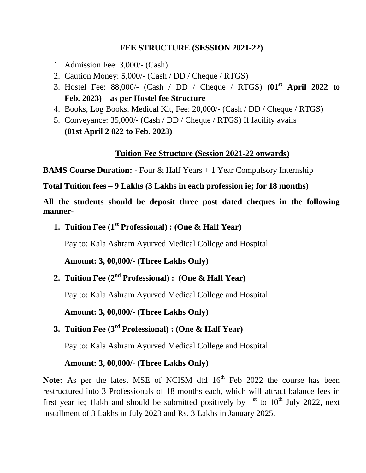## **FEE STRUCTURE (SESSION 2021-22)**

- 1. Admission Fee: 3,000/- (Cash)
- 2. Caution Money: 5,000/- (Cash / DD / Cheque / RTGS)
- 3. Hostel Fee: 88,000/- (Cash / DD / Cheque / RTGS) **(01st April 2022 to Feb. 2023) – as per Hostel fee Structure**
- 4. Books, Log Books. Medical Kit, Fee: 20,000/- (Cash / DD / Cheque / RTGS)
- 5. Conveyance: 35,000/- (Cash / DD / Cheque / RTGS) If facility avails **(01st April 2 022 to Feb. 2023)**

## **Tuition Fee Structure (Session 2021-22 onwards)**

**BAMS Course Duration: -** Four & Half Years + 1 Year Compulsory Internship

**Total Tuition fees – 9 Lakhs (3 Lakhs in each profession ie; for 18 months)**

**All the students should be deposit three post dated cheques in the following manner-**

**1. Tuition Fee (1 st Professional) : (One & Half Year)**

Pay to: Kala Ashram Ayurved Medical College and Hospital

**Amount: 3, 00,000/- (Three Lakhs Only)**

**2. Tuition Fee (2 nd Professional) : (One & Half Year)**

Pay to: Kala Ashram Ayurved Medical College and Hospital

**Amount: 3, 00,000/- (Three Lakhs Only)**

**3. Tuition Fee (3 rd Professional) : (One & Half Year)**

Pay to: Kala Ashram Ayurved Medical College and Hospital

### **Amount: 3, 00,000/- (Three Lakhs Only)**

Note: As per the latest MSE of NCISM dtd 16<sup>th</sup> Feb 2022 the course has been restructured into 3 Professionals of 18 months each, which will attract balance fees in first year ie; 11akh and should be submitted positively by  $1<sup>st</sup>$  to  $10<sup>th</sup>$  July 2022, next installment of 3 Lakhs in July 2023 and Rs. 3 Lakhs in January 2025.